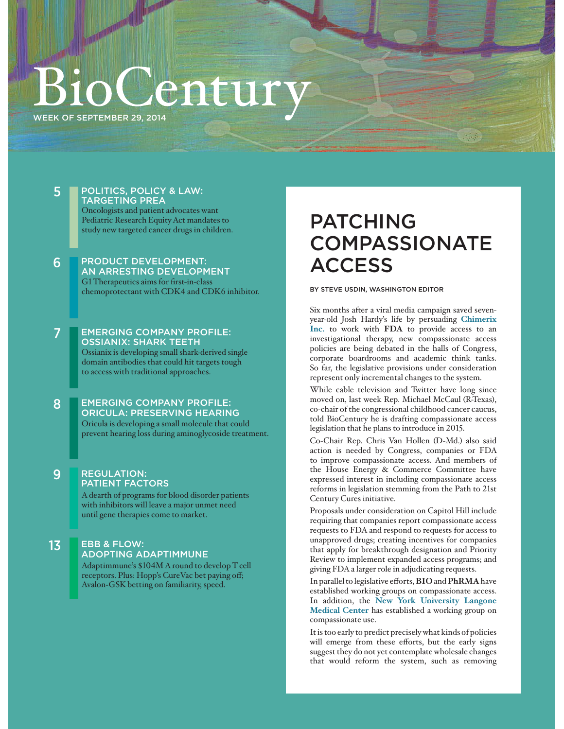## entur WEEK OF SEPTEMBER 29, 2014

### 5 POLITICS, POLICY & LAW: TARGETING PREA

Oncologists and patient advocates want Pediatric Research Equity Act mandates to study new targeted cancer drugs in children.

### 6 PRODUCT DEVELOPMENT: AN ARRESTING DEVELOPMENT G1 Therapeutics aims for first-in-class chemoprotectant with CDK4 and CDK6 inhibitor.

### 7 EMERGING COMPANY PROFILE: OSSIANIX: SHARK TEETH

Ossianix is developing small shark-derived single domain antibodies that could hit targets tough to access with traditional approaches.

 8 EMERGING COMPANY PROFILE: ORICULA: PRESERVING HEARING Oricula is developing a small molecule that could

prevent hearing loss during aminoglycoside treatment.

### 9 REGULATION: PATIENT FACTORS

A dearth of programs for blood disorder patients with inhibitors will leave a major unmet need until gene therapies come to market.

### 13 EBB & FLOW: ADOPTING ADAPTIMMUNE Adaptimmune's \$104M A round to develop T cell

receptors. Plus: Hopp's CureVac bet paying off; Avalon-GSK betting on familiarity, speed.

### PATCHING **COMPASSIONATE ACCESS**

### BY STEVE USDIN, WASHINGTON EDITOR

Six months after a viral media campaign saved sevenyear-old Josh Hardy's life by persuading **Chimerix Inc.** to work with **FDA** to provide access to an investigational therapy, new compassionate access policies are being debated in the halls of Congress, corporate boardrooms and academic think tanks. So far, the legislative provisions under consideration represent only incremental changes to the system.

While cable television and Twitter have long since moved on, last week Rep. Michael McCaul (R-Texas), co-chair of the congressional childhood cancer caucus, told BioCentury he is drafting compassionate access legislation that he plans to introduce in 2015.

Co-Chair Rep. Chris Van Hollen (D-Md.) also said action is needed by Congress, companies or FDA to improve compassionate access. And members of the House Energy & Commerce Committee have expressed interest in including compassionate access reforms in legislation stemming from the Path to 21st Century Cures initiative.

Proposals under consideration on Capitol Hill include requiring that companies report compassionate access requests to FDA and respond to requests for access to unapproved drugs; creating incentives for companies that apply for breakthrough designation and Priority Review to implement expanded access programs; and giving FDA a larger role in adjudicating requests.

In parallel to legislative efforts, **BIO** and **PhRMA** have established working groups on compassionate access. In addition, the **New York University Langone Medical Center** has established a working group on compassionate use.

It is too early to predict precisely what kinds of policies will emerge from these efforts, but the early signs suggest they do not yet contemplate wholesale changes that would reform the system, such as removing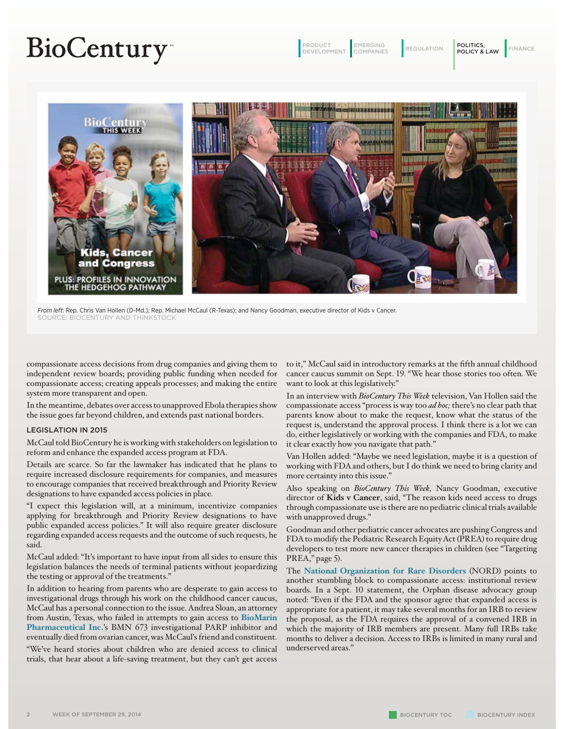# **BioCentury**

PRODUCT DEVELOPMENT

EMERGING<br>COMPANIES

EMERGING REGULATION POLITICS, FINANCE



*From left*: Rep. Chris Van Hollen (D-Md.); Rep. Michael McCaul (R-Texas); and Nancy Goodman, executive director of Kids v Cancer. SOURCE: BIOCENTURY AND THINKSTOCK

compassionate access decisions from drug companies and giving them to independent review boards; providing public funding when needed for compassionate access; creating appeals processes; and making the entire system more transparent and open.

In the meantime, debates over access to unapproved Ebola therapies show the issue goes far beyond children, and extends past national borders.

#### LEGISLATION IN 2015

McCaul told BioCentury he is working with stakeholders on legislation to reform and enhance the expanded access program at FDA.

Details are scarce. So far the lawmaker has indicated that he plans to require increased disclosure requirements for companies, and measures to encourage companies that received breakthrough and Priority Review designations to have expanded access policies in place.

"I expect this legislation will, at a minimum, incentivize companies applying for breakthrough and Priority Review designations to have public expanded access policies." It will also require greater disclosure regarding expanded access requests and the outcome of such requests, he said.

McCaul added: "It's important to have input from all sides to ensure this legislation balances the needs of terminal patients without jeopardizing the testing or approval of the treatments."

In addition to hearing from parents who are desperate to gain access to investigational drugs through his work on the childhood cancer caucus, McCaul has a personal connection to the issue. Andrea Sloan, an attorney from Austin, Texas, who failed in attempts to gain access to **BioMarin Pharmaceutical Inc.**'s BMN 673 investigational PARP inhibitor and eventually died from ovarian cancer, was McCaul's friend and constituent.

"We've heard stories about children who are denied access to clinical trials, that hear about a life-saving treatment, but they can't get access

to it," McCaul said in introductory remarks at the fifth annual childhood cancer caucus summit on Sept. 19. "We hear those stories too often. We want to look at this legislatively."

In an interview with *BioCentury This Week* television, Van Hollen said the compassionate access "process is way too *ad hoc;* there's no clear path that parents know about to make the request, know what the status of the request is, understand the approval process. I think there is a lot we can do, either legislatively or working with the companies and FDA, to make it clear exactly how you navigate that path."

Van Hollen added: "Maybe we need legislation, maybe it is a question of working with FDA and others, but I do think we need to bring clarity and more certainty into this issue."

Also speaking on *BioCentury This Week,* Nancy Goodman, executive director of **Kids v Cancer**, said, "The reason kids need access to drugs through compassionate use is there are no pediatric clinical trials available with unapproved drugs."

Goodman and other pediatric cancer advocates are pushing Congress and FDA to modify the Pediatric Research Equity Act (PREA) to require drug developers to test more new cancer therapies in children (see "Targeting PREA," page 5).

The **National Organization for Rare Disorders** (NORD) points to another stumbling block to compassionate access: institutional review boards. In a Sept. 10 statement, the Orphan disease advocacy group noted: "Even if the FDA and the sponsor agree that expanded access is appropriate for a patient, it may take several months for an IRB to review the proposal, as the FDA requires the approval of a convened IRB in which the majority of IRB members are present. Many full IRBs take months to deliver a decision. Access to IRBs is limited in many rural and underserved areas."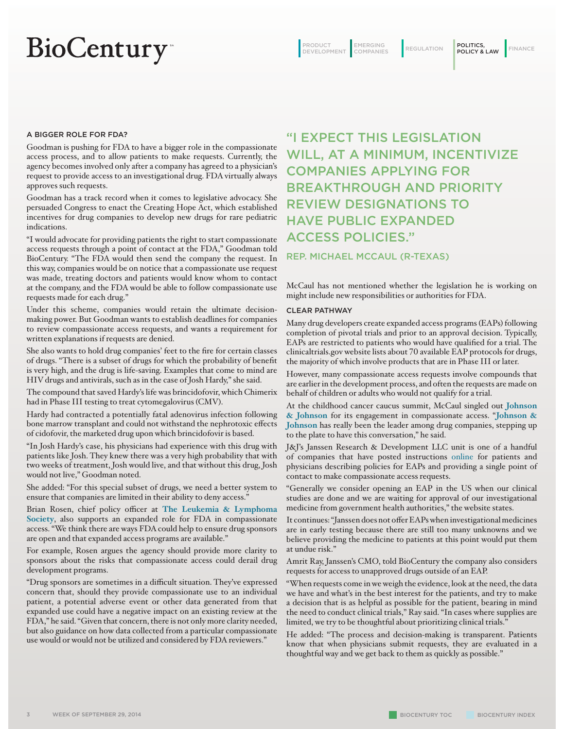# **BioCentury**

PRODUCT DEVELOPMENT

EMERGING REGULATION POLITICS, FINANCE EMERGING<br>COMPANIES

### A BIGGER ROLE FOR FDA?

Goodman is pushing for FDA to have a bigger role in the compassionate access process, and to allow patients to make requests. Currently, the agency becomes involved only after a company has agreed to a physician's request to provide access to an investigational drug. FDA virtually always approves such requests.

Goodman has a track record when it comes to legislative advocacy. She persuaded Congress to enact the Creating Hope Act, which established incentives for drug companies to develop new drugs for rare pediatric indications.

"I would advocate for providing patients the right to start compassionate access requests through a point of contact at the FDA," Goodman told BioCentury. "The FDA would then send the company the request. In this way, companies would be on notice that a compassionate use request was made, treating doctors and patients would know whom to contact at the company, and the FDA would be able to follow compassionate use requests made for each drug."

Under this scheme, companies would retain the ultimate decisionmaking power. But Goodman wants to establish deadlines for companies to review compassionate access requests, and wants a requirement for written explanations if requests are denied.

She also wants to hold drug companies' feet to the fire for certain classes of drugs. "There is a subset of drugs for which the probability of benefit is very high, and the drug is life-saving. Examples that come to mind are HIV drugs and antivirals, such as in the case of Josh Hardy," she said.

The compound that saved Hardy's life was brincidofovir, which Chimerix had in Phase III testing to treat cytomegalovirus (CMV).

Hardy had contracted a potentially fatal adenovirus infection following bone marrow transplant and could not withstand the nephrotoxic effects of cidofovir, the marketed drug upon which brincidofovir is based.

"In Josh Hardy's case, his physicians had experience with this drug with patients like Josh. They knew there was a very high probability that with two weeks of treatment, Josh would live, and that without this drug, Josh would not live," Goodman noted.

She added: "For this special subset of drugs, we need a better system to ensure that companies are limited in their ability to deny access."

Brian Rosen, chief policy officer at **The Leukemia & Lymphoma Society**, also supports an expanded role for FDA in compassionate access. "We think there are ways FDA could help to ensure drug sponsors are open and that expanded access programs are available."

For example, Rosen argues the agency should provide more clarity to sponsors about the risks that compassionate access could derail drug development programs.

"Drug sponsors are sometimes in a difficult situation. They've expressed concern that, should they provide compassionate use to an individual patient, a potential adverse event or other data generated from that expanded use could have a negative impact on an existing review at the FDA," he said. "Given that concern, there is not only more clarity needed, but also guidance on how data collected from a particular compassionate use would or would not be utilized and considered by FDA reviewers."

### "I EXPECT THIS LEGISLATION WILL, AT A MINIMUM, INCENTIVIZE COMPANIES APPLYING FOR BREAKTHROUGH AND PRIORITY REVIEW DESIGNATIONS TO HAVE PUBLIC EXPANDED ACCESS POLICIES."

### REP. MICHAEL MCCAUL (R-TEXAS)

McCaul has not mentioned whether the legislation he is working on might include new responsibilities or authorities for FDA.

#### CLEAR PATHWAY

Many drug developers create expanded access programs (EAPs) following completion of pivotal trials and prior to an approval decision. Typically, EAPs are restricted to patients who would have qualified for a trial. The clinicaltrials.gov website lists about 70 available EAP protocols for drugs, the majority of which involve products that are in Phase III or later.

However, many compassionate access requests involve compounds that are earlier in the development process, and often the requests are made on behalf of children or adults who would not qualify for a trial.

At the childhood cancer caucus summit, McCaul singled out **Johnson & Johnson** for its engagement in compassionate access. "**Johnson & Johnson** has really been the leader among drug companies, stepping up to the plate to have this conversation," he said.

J&J's Janssen Research & Development LLC unit is one of a handful of companies that have posted instructions online for patients and physicians describing policies for EAPs and providing a single point of contact to make compassionate access requests.

"Generally we consider opening an EAP in the US when our clinical studies are done and we are waiting for approval of our investigational medicine from government health authorities," the website states.

It continues: "Janssen does not offer EAPs when investigational medicines are in early testing because there are still too many unknowns and we believe providing the medicine to patients at this point would put them at undue risk."

Amrit Ray, Janssen's CMO, told BioCentury the company also considers requests for access to unapproved drugs outside of an EAP.

"When requests come in we weigh the evidence, look at the need, the data we have and what's in the best interest for the patients, and try to make a decision that is as helpful as possible for the patient, bearing in mind the need to conduct clinical trials," Ray said. "In cases where supplies are limited, we try to be thoughtful about prioritizing clinical trials."

He added: "The process and decision-making is transparent. Patients know that when physicians submit requests, they are evaluated in a thoughtful way and we get back to them as quickly as possible."